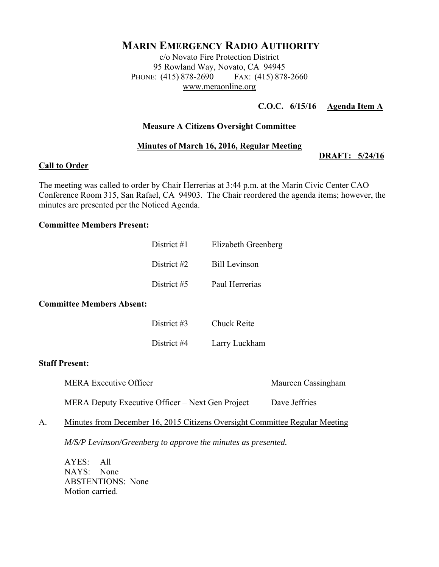# **MARIN EMERGENCY RADIO AUTHORITY**

c/o Novato Fire Protection District 95 Rowland Way, Novato, CA 94945 PHONE: (415) 878-2690 FAX: (415) 878-2660 www.meraonline.org

# **C.O.C. 6/15/16 Agenda Item A**

#### **Measure A Citizens Oversight Committee**

#### **Minutes of March 16, 2016, Regular Meeting**

#### **DRAFT: 5/24/16**

#### **Call to Order**

The meeting was called to order by Chair Herrerias at 3:44 p.m. at the Marin Civic Center CAO Conference Room 315, San Rafael, CA 94903. The Chair reordered the agenda items; however, the minutes are presented per the Noticed Agenda.

#### **Committee Members Present:**

# District #4 Larry Luckham

#### **Staff Present:**

MERA Executive Officer Maureen Cassingham

A. Minutes from December 16, 2015 Citizens Oversight Committee Regular Meeting

MERA Deputy Executive Officer – Next Gen Project Dave Jeffries

*M/S/P Levinson/Greenberg to approve the minutes as presented.* 

AYES: All NAYS: None ABSTENTIONS: None Motion carried.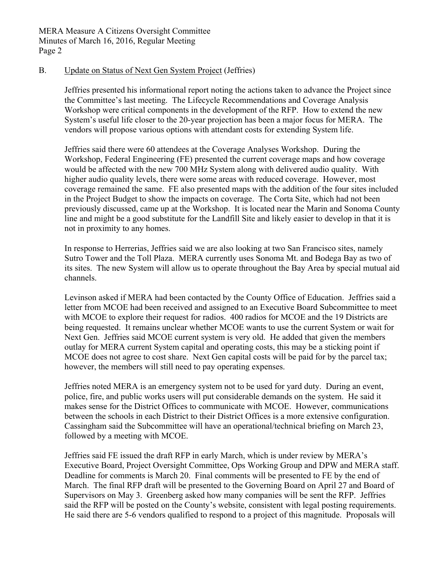### B. Update on Status of Next Gen System Project (Jeffries)

Jeffries presented his informational report noting the actions taken to advance the Project since the Committee's last meeting. The Lifecycle Recommendations and Coverage Analysis Workshop were critical components in the development of the RFP. How to extend the new System's useful life closer to the 20-year projection has been a major focus for MERA. The vendors will propose various options with attendant costs for extending System life.

Jeffries said there were 60 attendees at the Coverage Analyses Workshop. During the Workshop, Federal Engineering (FE) presented the current coverage maps and how coverage would be affected with the new 700 MHz System along with delivered audio quality. With higher audio quality levels, there were some areas with reduced coverage. However, most coverage remained the same. FE also presented maps with the addition of the four sites included in the Project Budget to show the impacts on coverage. The Corta Site, which had not been previously discussed, came up at the Workshop. It is located near the Marin and Sonoma County line and might be a good substitute for the Landfill Site and likely easier to develop in that it is not in proximity to any homes.

In response to Herrerias, Jeffries said we are also looking at two San Francisco sites, namely Sutro Tower and the Toll Plaza. MERA currently uses Sonoma Mt. and Bodega Bay as two of its sites. The new System will allow us to operate throughout the Bay Area by special mutual aid channels.

Levinson asked if MERA had been contacted by the County Office of Education. Jeffries said a letter from MCOE had been received and assigned to an Executive Board Subcommittee to meet with MCOE to explore their request for radios. 400 radios for MCOE and the 19 Districts are being requested. It remains unclear whether MCOE wants to use the current System or wait for Next Gen. Jeffries said MCOE current system is very old. He added that given the members outlay for MERA current System capital and operating costs, this may be a sticking point if MCOE does not agree to cost share. Next Gen capital costs will be paid for by the parcel tax; however, the members will still need to pay operating expenses.

Jeffries noted MERA is an emergency system not to be used for yard duty. During an event, police, fire, and public works users will put considerable demands on the system. He said it makes sense for the District Offices to communicate with MCOE. However, communications between the schools in each District to their District Offices is a more extensive configuration. Cassingham said the Subcommittee will have an operational/technical briefing on March 23, followed by a meeting with MCOE.

Jeffries said FE issued the draft RFP in early March, which is under review by MERA's Executive Board, Project Oversight Committee, Ops Working Group and DPW and MERA staff. Deadline for comments is March 20. Final comments will be presented to FE by the end of March. The final RFP draft will be presented to the Governing Board on April 27 and Board of Supervisors on May 3. Greenberg asked how many companies will be sent the RFP. Jeffries said the RFP will be posted on the County's website, consistent with legal posting requirements. He said there are 5-6 vendors qualified to respond to a project of this magnitude. Proposals will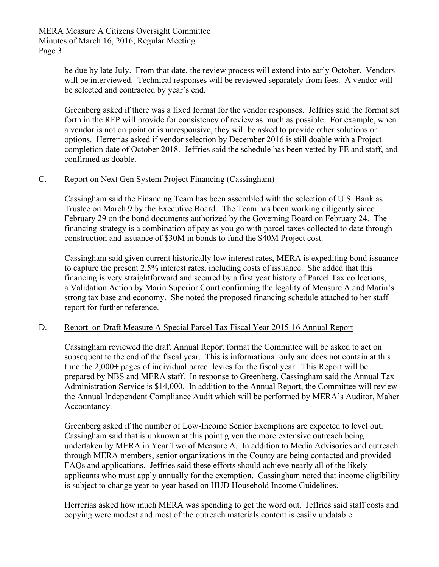be due by late July. From that date, the review process will extend into early October. Vendors will be interviewed. Technical responses will be reviewed separately from fees. A vendor will be selected and contracted by year's end.

Greenberg asked if there was a fixed format for the vendor responses. Jeffries said the format set forth in the RFP will provide for consistency of review as much as possible. For example, when a vendor is not on point or is unresponsive, they will be asked to provide other solutions or options. Herrerias asked if vendor selection by December 2016 is still doable with a Project completion date of October 2018. Jeffries said the schedule has been vetted by FE and staff, and confirmed as doable.

# C. Report on Next Gen System Project Financing (Cassingham)

Cassingham said the Financing Team has been assembled with the selection of U S Bank as Trustee on March 9 by the Executive Board. The Team has been working diligently since February 29 on the bond documents authorized by the Governing Board on February 24. The financing strategy is a combination of pay as you go with parcel taxes collected to date through construction and issuance of \$30M in bonds to fund the \$40M Project cost.

Cassingham said given current historically low interest rates, MERA is expediting bond issuance to capture the present 2.5% interest rates, including costs of issuance. She added that this financing is very straightforward and secured by a first year history of Parcel Tax collections, a Validation Action by Marin Superior Court confirming the legality of Measure A and Marin's strong tax base and economy. She noted the proposed financing schedule attached to her staff report for further reference.

# D. Report on Draft Measure A Special Parcel Tax Fiscal Year 2015-16 Annual Report

Cassingham reviewed the draft Annual Report format the Committee will be asked to act on subsequent to the end of the fiscal year. This is informational only and does not contain at this time the 2,000+ pages of individual parcel levies for the fiscal year. This Report will be prepared by NBS and MERA staff. In response to Greenberg, Cassingham said the Annual Tax Administration Service is \$14,000. In addition to the Annual Report, the Committee will review the Annual Independent Compliance Audit which will be performed by MERA's Auditor, Maher Accountancy.

Greenberg asked if the number of Low-Income Senior Exemptions are expected to level out. Cassingham said that is unknown at this point given the more extensive outreach being undertaken by MERA in Year Two of Measure A. In addition to Media Advisories and outreach through MERA members, senior organizations in the County are being contacted and provided FAQs and applications. Jeffries said these efforts should achieve nearly all of the likely applicants who must apply annually for the exemption. Cassingham noted that income eligibility is subject to change year-to-year based on HUD Household Income Guidelines.

Herrerias asked how much MERA was spending to get the word out. Jeffries said staff costs and copying were modest and most of the outreach materials content is easily updatable.